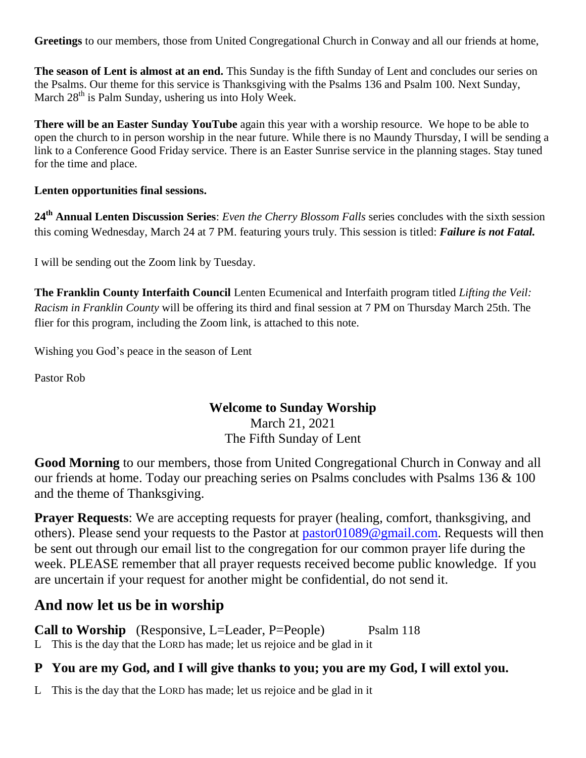**Greetings** to our members, those from United Congregational Church in Conway and all our friends at home,

**The season of Lent is almost at an end.** This Sunday is the fifth Sunday of Lent and concludes our series on the Psalms. Our theme for this service is Thanksgiving with the Psalms 136 and Psalm 100. Next Sunday, March  $28<sup>th</sup>$  is Palm Sunday, ushering us into Holy Week.

**There will be an Easter Sunday YouTube** again this year with a worship resource. We hope to be able to open the church to in person worship in the near future. While there is no Maundy Thursday, I will be sending a link to a Conference Good Friday service. There is an Easter Sunrise service in the planning stages. Stay tuned for the time and place.

#### **Lenten opportunities final sessions.**

**24th Annual Lenten Discussion Series**: *Even the Cherry Blossom Falls* series concludes with the sixth session this coming Wednesday, March 24 at 7 PM. featuring yours truly. This session is titled: *Failure is not Fatal.* 

I will be sending out the Zoom link by Tuesday.

**The Franklin County Interfaith Council** Lenten Ecumenical and Interfaith program titled *Lifting the Veil: Racism in Franklin County* will be offering its third and final session at 7 PM on Thursday March 25th. The flier for this program, including the Zoom link, is attached to this note.

Wishing you God's peace in the season of Lent

Pastor Rob

#### **Welcome to Sunday Worship**

March 21, 2021 The Fifth Sunday of Lent

**Good Morning** to our members, those from United Congregational Church in Conway and all our friends at home. Today our preaching series on Psalms concludes with Psalms 136 & 100 and the theme of Thanksgiving.

**Prayer Requests**: We are accepting requests for prayer (healing, comfort, thanksgiving, and others). Please send your requests to the Pastor at [pastor01089@gmail.com.](mailto:pastor01089@gmail.com) Requests will then be sent out through our email list to the congregation for our common prayer life during the week. PLEASE remember that all prayer requests received become public knowledge. If you are uncertain if your request for another might be confidential, do not send it.

# **And now let us be in worship**

**Call to Worship** (Responsive, L=Leader, P=People) Psalm 118 L This is the day that the LORD has made; let us rejoice and be glad in it

### **P You are my God, and I will give thanks to you; you are my God, I will extol you.**

L This is the day that the LORD has made; let us rejoice and be glad in it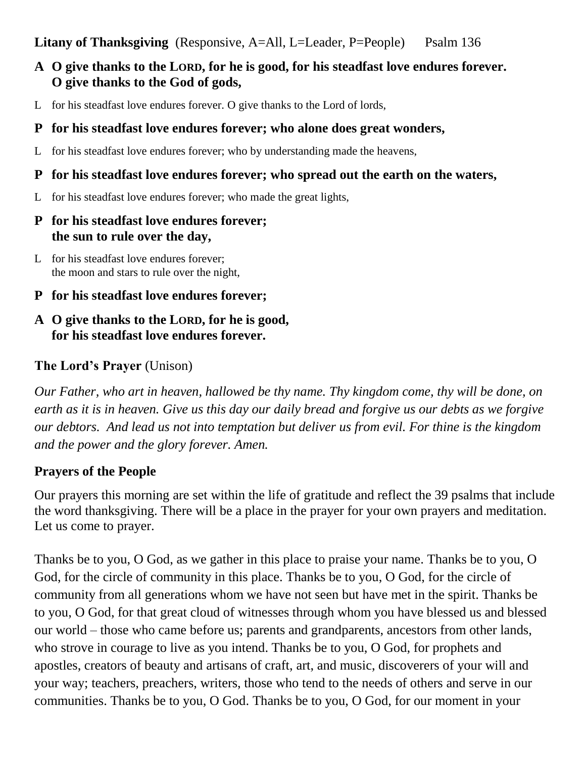### **Litany of Thanksgiving** (Responsive, A=All, L=Leader, P=People) Psalm 136

## **A O give thanks to the LORD, for he is good, for his steadfast love endures forever. O give thanks to the God of gods,**

L for his steadfast love endures forever. O give thanks to the Lord of lords,

#### **P for his steadfast love endures forever; who alone does great wonders,**

L for his steadfast love endures forever; who by understanding made the heavens,

#### **P for his steadfast love endures forever; who spread out the earth on the waters,**

L for his steadfast love endures forever; who made the great lights,

#### **P for his steadfast love endures forever; the sun to rule over the day,**

- L for his steadfast love endures forever; the moon and stars to rule over the night,
- **P for his steadfast love endures forever;**
- **A O give thanks to the LORD, for he is good, for his steadfast love endures forever.**

## **The Lord's Prayer** (Unison)

*Our Father, who art in heaven, hallowed be thy name. Thy kingdom come, thy will be done, on earth as it is in heaven. Give us this day our daily bread and forgive us our debts as we forgive our debtors. And lead us not into temptation but deliver us from evil. For thine is the kingdom and the power and the glory forever. Amen.*

### **Prayers of the People**

Our prayers this morning are set within the life of gratitude and reflect the 39 psalms that include the word thanksgiving. There will be a place in the prayer for your own prayers and meditation. Let us come to prayer.

Thanks be to you, O God, as we gather in this place to praise your name. Thanks be to you, O God, for the circle of community in this place. Thanks be to you, O God, for the circle of community from all generations whom we have not seen but have met in the spirit. Thanks be to you, O God, for that great cloud of witnesses through whom you have blessed us and blessed our world – those who came before us; parents and grandparents, ancestors from other lands, who strove in courage to live as you intend. Thanks be to you, O God, for prophets and apostles, creators of beauty and artisans of craft, art, and music, discoverers of your will and your way; teachers, preachers, writers, those who tend to the needs of others and serve in our communities. Thanks be to you, O God. Thanks be to you, O God, for our moment in your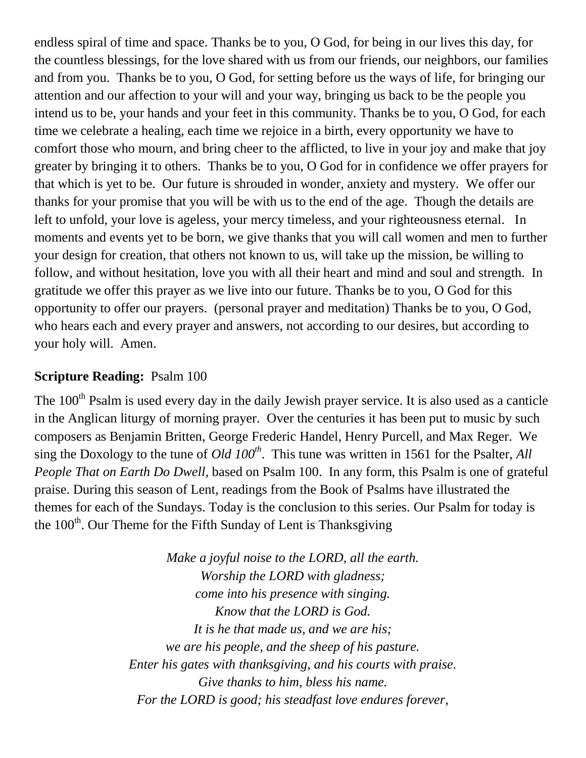endless spiral of time and space. Thanks be to you, O God, for being in our lives this day, for the countless blessings, for the love shared with us from our friends, our neighbors, our families and from you. Thanks be to you, O God, for setting before us the ways of life, for bringing our attention and our affection to your will and your way, bringing us back to be the people you intend us to be, your hands and your feet in this community. Thanks be to you, O God, for each time we celebrate a healing, each time we rejoice in a birth, every opportunity we have to comfort those who mourn, and bring cheer to the afflicted, to live in your joy and make that joy greater by bringing it to others. Thanks be to you, O God for in confidence we offer prayers for that which is yet to be. Our future is shrouded in wonder, anxiety and mystery. We offer our thanks for your promise that you will be with us to the end of the age. Though the details are left to unfold, your love is ageless, your mercy timeless, and your righteousness eternal. In moments and events yet to be born, we give thanks that you will call women and men to further your design for creation, that others not known to us, will take up the mission, be willing to follow, and without hesitation, love you with all their heart and mind and soul and strength. In gratitude we offer this prayer as we live into our future. Thanks be to you, O God for this opportunity to offer our prayers. (personal prayer and meditation) Thanks be to you, O God, who hears each and every prayer and answers, not according to our desires, but according to your holy will. Amen.

### **Scripture Reading:** Psalm 100

The 100<sup>th</sup> Psalm is used every day in the daily Jewish prayer service. It is also used as a canticle in the Anglican liturgy of morning prayer. Over the centuries it has been put to music by such composers as Benjamin Britten, George Frederic Handel, Henry Purcell, and Max Reger. We sing the Doxology to the tune of *Old 100th*. This tune was written in 1561 for the Psalter, *All People That on Earth Do Dwell*, based on Psalm 100. In any form, this Psalm is one of grateful praise. During this season of Lent, readings from the Book of Psalms have illustrated the themes for each of the Sundays. Today is the conclusion to this series. Our Psalm for today is the 100<sup>th</sup>. Our Theme for the Fifth Sunday of Lent is Thanksgiving

> *Make a joyful noise to the LORD, all the earth. Worship the LORD with gladness; come into his presence with singing. Know that the LORD is God. It is he that made us, and we are his; we are his people, and the sheep of his pasture. Enter his gates with thanksgiving, and his courts with praise. Give thanks to him, bless his name. For the LORD is good; his steadfast love endures forever,*